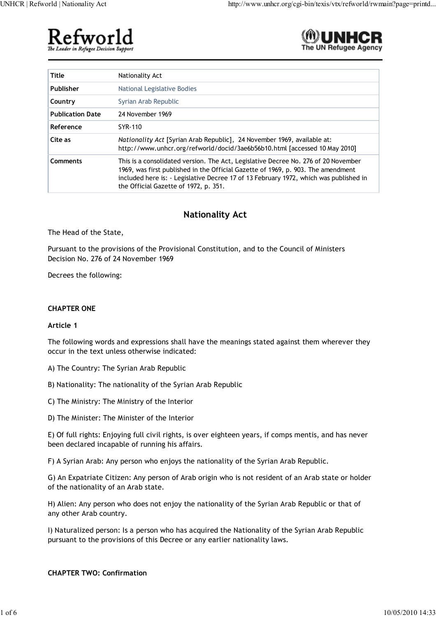



| <b>Title</b>            | Nationality Act                                                                                                                                                                                                                                                                                          |
|-------------------------|----------------------------------------------------------------------------------------------------------------------------------------------------------------------------------------------------------------------------------------------------------------------------------------------------------|
| Publisher               | National Legislative Bodies                                                                                                                                                                                                                                                                              |
| Country                 | Syrian Arab Republic                                                                                                                                                                                                                                                                                     |
| <b>Publication Date</b> | 24 November 1969                                                                                                                                                                                                                                                                                         |
| Reference               | SYR-110                                                                                                                                                                                                                                                                                                  |
| Cite as                 | Nationality Act [Syrian Arab Republic], 24 November 1969, available at:<br>http://www.unhcr.org/refworld/docid/3ae6b56b10.html [accessed 10 May 2010]                                                                                                                                                    |
| Comments                | This is a consolidated version. The Act, Legislative Decree No. 276 of 20 November<br>1969, was first published in the Official Gazette of 1969, p. 903. The amendment<br>included here is: - Legislative Decree 17 of 13 February 1972, which was published in<br>the Official Gazette of 1972, p. 351. |

# **Nationality Act**

The Head of the State,

Pursuant to the provisions of the Provisional Constitution, and to the Council of Ministers Decision No. 276 of 24 November 1969

Decrees the following:

# **CHAPTER ONE**

#### **Article 1**

The following words and expressions shall have the meanings stated against them wherever they occur in the text unless otherwise indicated:

- A) The Country: The Syrian Arab Republic
- B) Nationality: The nationality of the Syrian Arab Republic
- C) The Ministry: The Ministry of the Interior
- D) The Minister: The Minister of the Interior

E) Of full rights: Enjoying full civil rights, is over eighteen years, if comps mentis, and has never been declared incapable of running his affairs.

F) A Syrian Arab: Any person who enjoys the nationality of the Syrian Arab Republic.

G) An Expatriate Citizen: Any person of Arab origin who is not resident of an Arab state or holder of the nationality of an Arab state.

H) Alien: Any person who does not enjoy the nationality of the Syrian Arab Republic or that of any other Arab country.

I) Naturalized person: Is a person who has acquired the Nationality of the Syrian Arab Republic pursuant to the provisions of this Decree or any earlier nationality laws.

**CHAPTER TWO: Confirmation**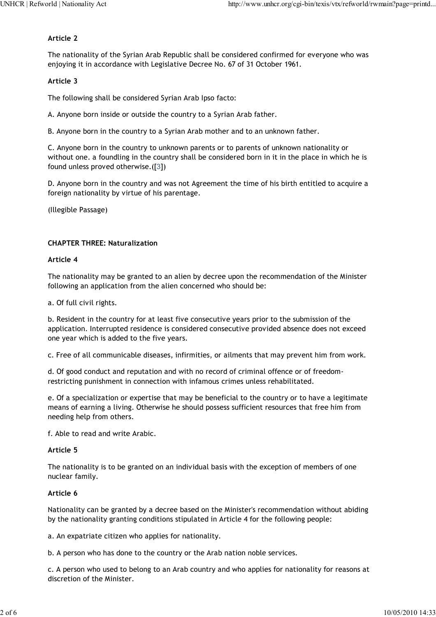#### **Article 2**

The nationality of the Syrian Arab Republic shall be considered confirmed for everyone who was enjoying it in accordance with Legislative Decree No. 67 of 31 October 1961.

#### **Article 3**

The following shall be considered Syrian Arab Ipso facto:

A. Anyone born inside or outside the country to a Syrian Arab father.

B. Anyone born in the country to a Syrian Arab mother and to an unknown father.

C. Anyone born in the country to unknown parents or to parents of unknown nationality or without one. a foundling in the country shall be considered born in it in the place in which he is found unless proved otherwise.([3])

D. Anyone born in the country and was not Agreement the time of his birth entitled to acquire a foreign nationality by virtue of his parentage.

(Illegible Passage)

## **CHAPTER THREE: Naturalization**

#### **Article 4**

The nationality may be granted to an alien by decree upon the recommendation of the Minister following an application from the alien concerned who should be:

a. Of full civil rights.

b. Resident in the country for at least five consecutive years prior to the submission of the application. Interrupted residence is considered consecutive provided absence does not exceed one year which is added to the five years.

c. Free of all communicable diseases, infirmities, or ailments that may prevent him from work.

d. Of good conduct and reputation and with no record of criminal offence or of freedomrestricting punishment in connection with infamous crimes unless rehabilitated.

e. Of a specialization or expertise that may be beneficial to the country or to have a legitimate means of earning a living. Otherwise he should possess sufficient resources that free him from needing help from others.

f. Able to read and write Arabic.

#### **Article 5**

The nationality is to be granted on an individual basis with the exception of members of one nuclear family.

#### **Article 6**

Nationality can be granted by a decree based on the Minister's recommendation without abiding by the nationality granting conditions stipulated in Article 4 for the following people:

a. An expatriate citizen who applies for nationality.

b. A person who has done to the country or the Arab nation noble services.

c. A person who used to belong to an Arab country and who applies for nationality for reasons at discretion of the Minister.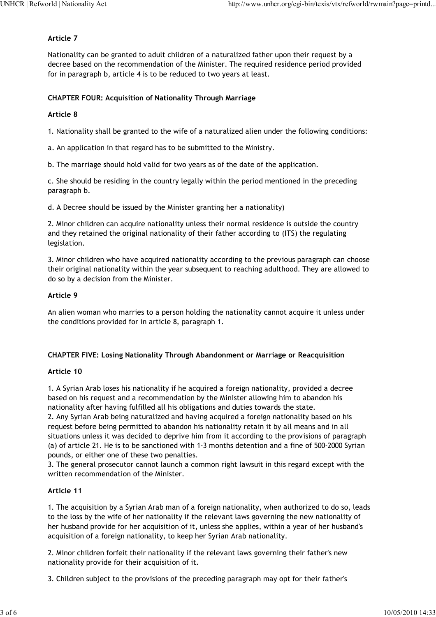### **Article 7**

Nationality can be granted to adult children of a naturalized father upon their request by a decree based on the recommendation of the Minister. The required residence period provided for in paragraph b, article 4 is to be reduced to two years at least.

## **CHAPTER FOUR: Acquisition of Nationality Through Marriage**

# **Article 8**

1. Nationality shall be granted to the wife of a naturalized alien under the following conditions:

a. An application in that regard has to be submitted to the Ministry.

b. The marriage should hold valid for two years as of the date of the application.

c. She should be residing in the country legally within the period mentioned in the preceding paragraph b.

d. A Decree should be issued by the Minister granting her a nationality)

2. Minor children can acquire nationality unless their normal residence is outside the country and they retained the original nationality of their father according to (ITS) the regulating legislation.

3. Minor children who have acquired nationality according to the previous paragraph can choose their original nationality within the year subsequent to reaching adulthood. They are allowed to do so by a decision from the Minister.

#### **Article 9**

An alien woman who marries to a person holding the nationality cannot acquire it unless under the conditions provided for in article 8, paragraph 1.

#### **CHAPTER FIVE: Losing Nationality Through Abandonment or Marriage or Reacquisition**

#### **Article 10**

1. A Syrian Arab loses his nationality if he acquired a foreign nationality, provided a decree based on his request and a recommendation by the Minister allowing him to abandon his nationality after having fulfilled all his obligations and duties towards the state.

2. Any Syrian Arab being naturalized and having acquired a foreign nationality based on his request before being permitted to abandon his nationality retain it by all means and in all situations unless it was decided to deprive him from it according to the provisions of paragraph (a) of article 21. He is to be sanctioned with 1-3 months detention and a fine of 500-2000 Syrian pounds, or either one of these two penalties.

3. The general prosecutor cannot launch a common right lawsuit in this regard except with the written recommendation of the Minister.

# **Article 11**

1. The acquisition by a Syrian Arab man of a foreign nationality, when authorized to do so, leads to the loss by the wife of her nationality if the relevant laws governing the new nationality of her husband provide for her acquisition of it, unless she applies, within a year of her husband's acquisition of a foreign nationality, to keep her Syrian Arab nationality.

2. Minor children forfeit their nationality if the relevant laws governing their father's new nationality provide for their acquisition of it.

3. Children subject to the provisions of the preceding paragraph may opt for their father's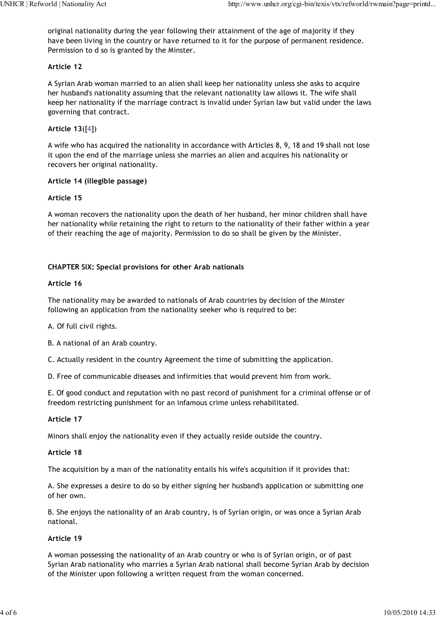original nationality during the year following their attainment of the age of majority if they have been living in the country or have returned to it for the purpose of permanent residence. Permission to d so is granted by the Minster.

#### **Article 12**

A Syrian Arab woman married to an alien shall keep her nationality unless she asks to acquire her husband's nationality assuming that the relevant nationality law allows it. The wife shall keep her nationality if the marriage contract is invalid under Syrian law but valid under the laws governing that contract.

## **Article 13**([4])

A wife who has acquired the nationality in accordance with Articles 8, 9, 18 and 19 shall not lose it upon the end of the marriage unless she marries an alien and acquires his nationality or recovers her original nationality.

#### **Article 14 (illegible passage)**

## **Article 15**

A woman recovers the nationality upon the death of her husband, her minor children shall have her nationality while retaining the right to return to the nationality of their father within a year of their reaching the age of majority. Permission to do so shall be given by the Minister.

## **CHAPTER SIX: Special provisions for other Arab nationals**

#### **Article 16**

The nationality may be awarded to nationals of Arab countries by decision of the Minster following an application from the nationality seeker who is required to be:

A. Of full civil rights.

B. A national of an Arab country.

C. Actually resident in the country Agreement the time of submitting the application.

D. Free of communicable diseases and infirmities that would prevent him from work.

E. Of good conduct and reputation with no past record of punishment for a criminal offense or of freedom restricting punishment for an infamous crime unless rehabilitated.

#### **Article 17**

Minors shall enjoy the nationality even if they actually reside outside the country.

#### **Article 18**

The acquisition by a man of the nationality entails his wife's acquisition if it provides that:

A. She expresses a desire to do so by either signing her husband's application or submitting one of her own.

B. She enjoys the nationality of an Arab country, is of Syrian origin, or was once a Syrian Arab national.

#### **Article 19**

A woman possessing the nationality of an Arab country or who is of Syrian origin, or of past Syrian Arab nationality who marries a Syrian Arab national shall become Syrian Arab by decision of the Minister upon following a written request from the woman concerned.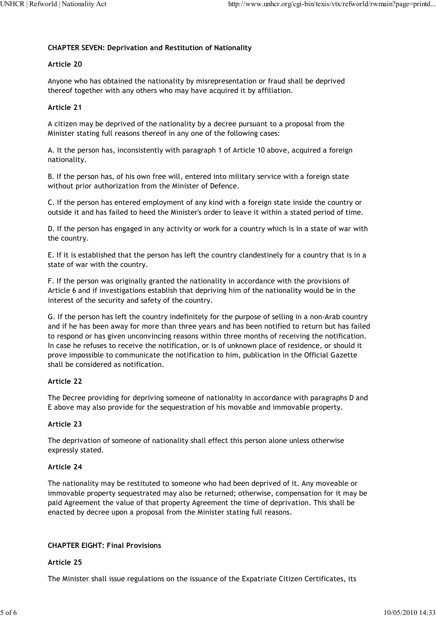# **CHAPTER SEVEN: Deprivation and Restitution of Nationality**

# **Article 20**

Anyone who has obtained the nationality by misrepresentation or fraud shall be deprived thereof together with any others who may have acquired it by affiliation.

# **Article 21**

A citizen may be deprived of the nationality by a decree pursuant to a proposal from the Minister stating full reasons thereof in any one of the following cases:

A. It the person has, inconsistently with paragraph 1 of Article 10 above, acquired a foreign nationality.

B. If the person has, of his own free will, entered into military service with a foreign state without prior authorization from the Minister of Defence.

C. If the person has entered employment of any kind with a foreign state inside the country or outside it and has failed to heed the Minister's order to leave it within a stated period of time.

D. If the person has engaged in any activity or work for a country which is in a state of war with the country.

E. If it is established that the person has left the country clandestinely for a country that is in a state of war with the country.

F. If the person was originally granted the nationality in accordance with the provisions of Article 6 and if investigations establish that depriving him of the nationality would be in the interest of the security and safety of the country.

G. If the person has left the country indefinitely for the purpose of selling in a non-Arab country and if he has been away for more than three years and has been notified to return but has failed to respond or has given unconvincing reasons within three months of receiving the notification. In case he refuses to receive the notification, or is of unknown place of residence, or should it prove impossible to communicate the notification to him, publication in the Official Gazette shall be considered as notification.

# **Article 22**

The Decree providing for depriving someone of nationality in accordance with paragraphs D and E above may also provide for the sequestration of his movable and immovable property.

#### **Article 23**

The deprivation of someone of nationality shall effect this person alone unless otherwise expressly stated.

# **Article 24**

The nationality may be restituted to someone who had been deprived of it. Any moveable or immovable property sequestrated may also be returned; otherwise, compensation for it may be paid Agreement the value of that property Agreement the time of deprivation. This shall be enacted by decree upon a proposal from the Minister stating full reasons.

# **CHAPTER EIGHT: Final Provisions**

#### **Article 25**

The Minister shall issue regulations on the issuance of the Expatriate Citizen Certificates, its